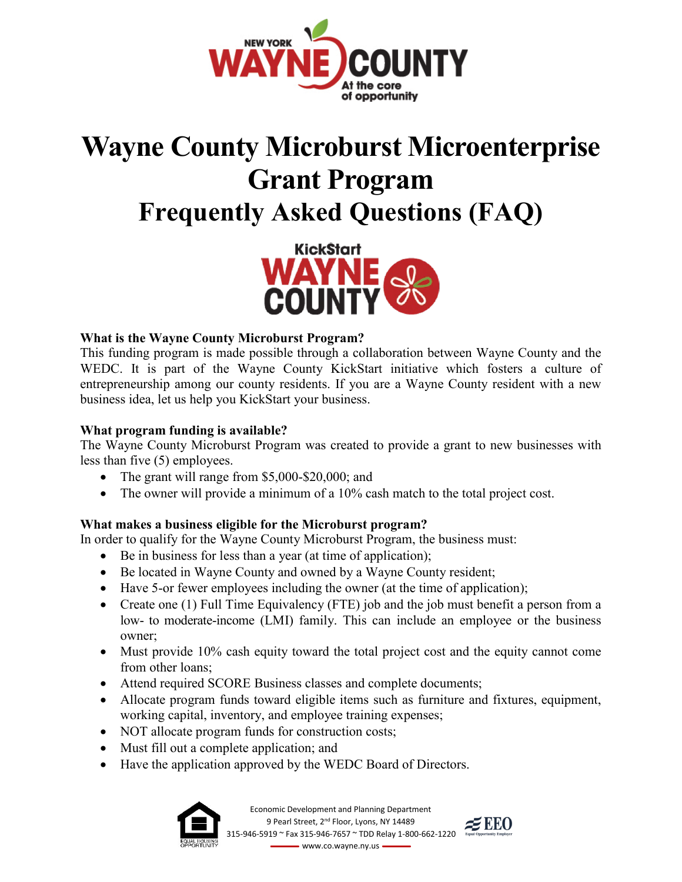

# **Wayne County Microburst Microenterprise Grant Program Frequently Asked Questions (FAQ)**



## **What is the Wayne County Microburst Program?**

This funding program is made possible through a collaboration between Wayne County and the WEDC. It is part of the Wayne County KickStart initiative which fosters a culture of entrepreneurship among our county residents. If you are a Wayne County resident with a new business idea, let us help you KickStart your business.

## **What program funding is available?**

The Wayne County Microburst Program was created to provide a grant to new businesses with less than five (5) employees.

- The grant will range from \$5,000-\$20,000; and
- The owner will provide a minimum of a 10% cash match to the total project cost.

## **What makes a business eligible for the Microburst program?**

In order to qualify for the Wayne County Microburst Program, the business must:

- Be in business for less than a year (at time of application);
- Be located in Wayne County and owned by a Wayne County resident;
- Have 5-or fewer employees including the owner (at the time of application);
- Create one (1) Full Time Equivalency (FTE) job and the job must benefit a person from a low- to moderate-income (LMI) family. This can include an employee or the business owner;
- Must provide 10% cash equity toward the total project cost and the equity cannot come from other loans;
- Attend required SCORE Business classes and complete documents;
- Allocate program funds toward eligible items such as furniture and fixtures, equipment, working capital, inventory, and employee training expenses;
- NOT allocate program funds for construction costs;
- Must fill out a complete application; and
- Have the application approved by the WEDC Board of Directors.